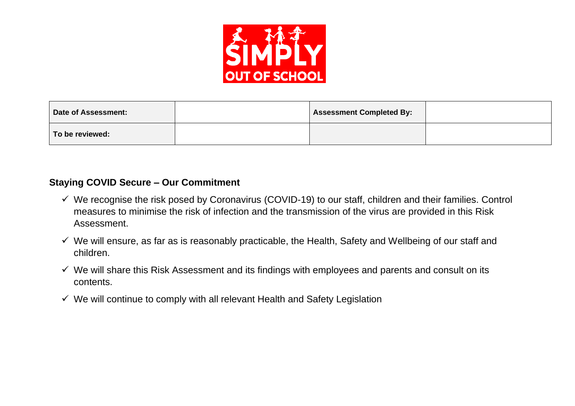

| Date of Assessment: | <b>Assessment Completed By:</b> |  |
|---------------------|---------------------------------|--|
| To be reviewed:     |                                 |  |

#### **Staying COVID Secure – Our Commitment**

- $\checkmark$  We recognise the risk posed by Coronavirus (COVID-19) to our staff, children and their families. Control measures to minimise the risk of infection and the transmission of the virus are provided in this Risk Assessment.
- $\checkmark$  We will ensure, as far as is reasonably practicable, the Health, Safety and Wellbeing of our staff and children.
- ✓ We will share this Risk Assessment and its findings with employees and parents and consult on its contents.
- $\checkmark$  We will continue to comply with all relevant Health and Safety Legislation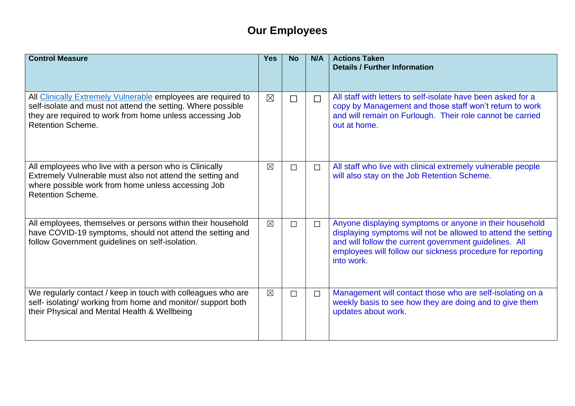# **Our Employees**

| <b>Control Measure</b>                                                                                                                                                                                                | <b>Yes</b>  | <b>No</b> | N/A    | <b>Actions Taken</b><br><b>Details / Further Information</b>                                                                                                                                                                                                   |
|-----------------------------------------------------------------------------------------------------------------------------------------------------------------------------------------------------------------------|-------------|-----------|--------|----------------------------------------------------------------------------------------------------------------------------------------------------------------------------------------------------------------------------------------------------------------|
|                                                                                                                                                                                                                       |             |           |        |                                                                                                                                                                                                                                                                |
| All Clinically Extremely Vulnerable employees are required to<br>self-isolate and must not attend the setting. Where possible<br>they are required to work from home unless accessing Job<br><b>Retention Scheme.</b> | $\boxtimes$ | $\Box$    | $\Box$ | All staff with letters to self-isolate have been asked for a<br>copy by Management and those staff won't return to work<br>and will remain on Furlough. Their role cannot be carried<br>out at home.                                                           |
| All employees who live with a person who is Clinically<br>Extremely Vulnerable must also not attend the setting and<br>where possible work from home unless accessing Job<br><b>Retention Scheme.</b>                 | $\boxtimes$ | $\Box$    | $\Box$ | All staff who live with clinical extremely vulnerable people<br>will also stay on the Job Retention Scheme.                                                                                                                                                    |
| All employees, themselves or persons within their household<br>have COVID-19 symptoms, should not attend the setting and<br>follow Government guidelines on self-isolation.                                           | $\boxtimes$ | $\Box$    | $\Box$ | Anyone displaying symptoms or anyone in their household<br>displaying symptoms will not be allowed to attend the setting<br>and will follow the current government guidelines. All<br>employees will follow our sickness procedure for reporting<br>into work. |
| We regularly contact / keep in touch with colleagues who are<br>self- isolating/ working from home and monitor/ support both<br>their Physical and Mental Health & Wellbeing                                          | $\boxtimes$ | $\Box$    | $\Box$ | Management will contact those who are self-isolating on a<br>weekly basis to see how they are doing and to give them<br>updates about work.                                                                                                                    |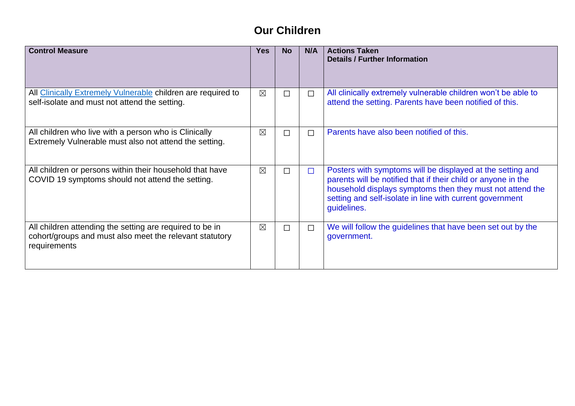# **Our Children**

| <b>Control Measure</b>                                                                                                              | Yes         | <b>No</b> | N/A    | <b>Actions Taken</b><br><b>Details / Further Information</b>                                                                                                                                                                                                        |
|-------------------------------------------------------------------------------------------------------------------------------------|-------------|-----------|--------|---------------------------------------------------------------------------------------------------------------------------------------------------------------------------------------------------------------------------------------------------------------------|
| All Clinically Extremely Vulnerable children are required to<br>self-isolate and must not attend the setting.                       | $\boxtimes$ | П         | $\Box$ | All clinically extremely vulnerable children won't be able to<br>attend the setting. Parents have been notified of this.                                                                                                                                            |
| All children who live with a person who is Clinically<br>Extremely Vulnerable must also not attend the setting.                     | $\boxtimes$ | П         | П      | Parents have also been notified of this.                                                                                                                                                                                                                            |
| All children or persons within their household that have<br>COVID 19 symptoms should not attend the setting.                        | $\boxtimes$ | П         | $\Box$ | Posters with symptoms will be displayed at the setting and<br>parents will be notified that if their child or anyone in the<br>household displays symptoms then they must not attend the<br>setting and self-isolate in line with current government<br>guidelines. |
| All children attending the setting are required to be in<br>cohort/groups and must also meet the relevant statutory<br>requirements | $\boxtimes$ | $\Box$    | $\Box$ | We will follow the guidelines that have been set out by the<br>government.                                                                                                                                                                                          |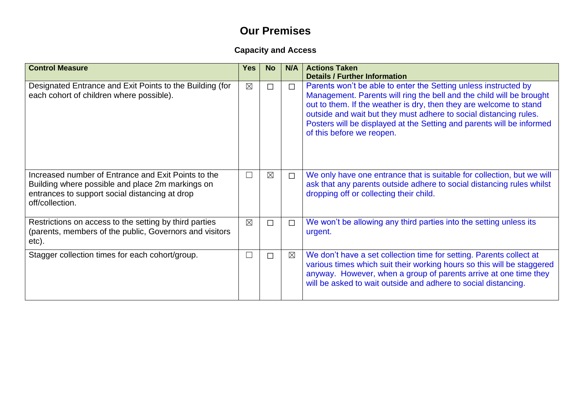### **Our Premises**

### **Capacity and Access**

| <b>Control Measure</b>                                                                                                                                                       | <b>Yes</b>  | <b>No</b>   | N/A      | <b>Actions Taken</b><br><b>Details / Further Information</b>                                                                                                                                                                                                                                                                                                                             |
|------------------------------------------------------------------------------------------------------------------------------------------------------------------------------|-------------|-------------|----------|------------------------------------------------------------------------------------------------------------------------------------------------------------------------------------------------------------------------------------------------------------------------------------------------------------------------------------------------------------------------------------------|
| Designated Entrance and Exit Points to the Building (for<br>each cohort of children where possible).                                                                         | $\boxtimes$ | $\Box$      | $\Box$   | Parents won't be able to enter the Setting unless instructed by<br>Management. Parents will ring the bell and the child will be brought<br>out to them. If the weather is dry, then they are welcome to stand<br>outside and wait but they must adhere to social distancing rules.<br>Posters will be displayed at the Setting and parents will be informed<br>of this before we reopen. |
| Increased number of Entrance and Exit Points to the<br>Building where possible and place 2m markings on<br>entrances to support social distancing at drop<br>off/collection. | $\Box$      | $\boxtimes$ | $\Box$   | We only have one entrance that is suitable for collection, but we will<br>ask that any parents outside adhere to social distancing rules whilst<br>dropping off or collecting their child.                                                                                                                                                                                               |
| Restrictions on access to the setting by third parties<br>(parents, members of the public, Governors and visitors<br>etc).                                                   | $\boxtimes$ | $\Box$      | $\Box$   | We won't be allowing any third parties into the setting unless its<br>urgent.                                                                                                                                                                                                                                                                                                            |
| Stagger collection times for each cohort/group.                                                                                                                              |             | $\Box$      | $\times$ | We don't have a set collection time for setting. Parents collect at<br>various times which suit their working hours so this will be staggered<br>anyway. However, when a group of parents arrive at one time they<br>will be asked to wait outside and adhere to social distancing.                                                                                                      |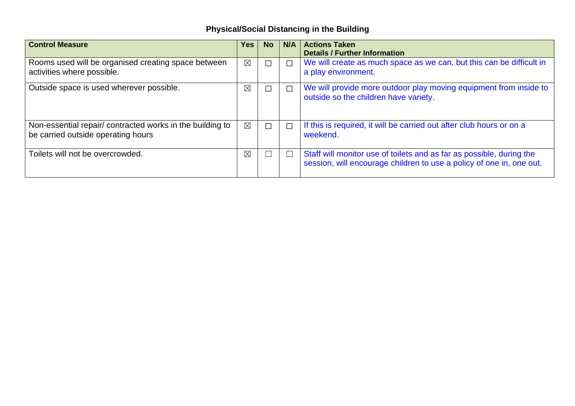### **Physical/Social Distancing in the Building**

| <b>Control Measure</b>                                                                          | Yes         | <b>No</b> | N/A    | <b>Actions Taken</b><br><b>Details / Further Information</b>                                                                                 |
|-------------------------------------------------------------------------------------------------|-------------|-----------|--------|----------------------------------------------------------------------------------------------------------------------------------------------|
| Rooms used will be organised creating space between<br>activities where possible.               | $\boxtimes$ | $\Box$    | $\Box$ | We will create as much space as we can, but this can be difficult in<br>a play environment.                                                  |
| Outside space is used wherever possible.                                                        | $\boxtimes$ | П         | $\Box$ | We will provide more outdoor play moving equipment from inside to<br>outside so the children have variety.                                   |
| Non-essential repair/ contracted works in the building to<br>be carried outside operating hours | $\boxtimes$ | $\Box$    | $\Box$ | If this is required, it will be carried out after club hours or on a<br>weekend.                                                             |
| Toilets will not be overcrowded.                                                                | $\boxtimes$ |           | $\Box$ | Staff will monitor use of toilets and as far as possible, during the<br>session, will encourage children to use a policy of one in, one out. |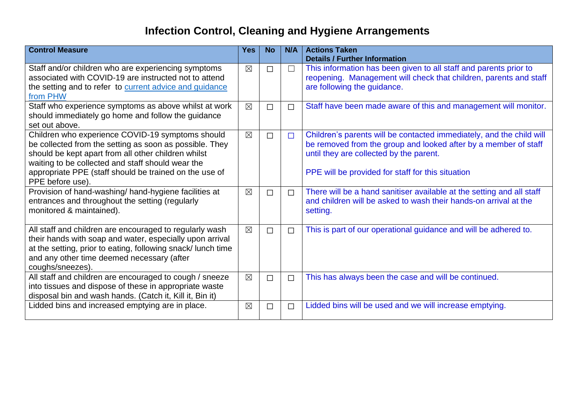# **Infection Control, Cleaning and Hygiene Arrangements**

| <b>Control Measure</b>                                                                                                                                                                                                                                                                                | <b>Yes</b>  | <b>No</b> | N/A    | <b>Actions Taken</b><br><b>Details / Further Information</b>                                                                                                                                                                            |
|-------------------------------------------------------------------------------------------------------------------------------------------------------------------------------------------------------------------------------------------------------------------------------------------------------|-------------|-----------|--------|-----------------------------------------------------------------------------------------------------------------------------------------------------------------------------------------------------------------------------------------|
| Staff and/or children who are experiencing symptoms<br>associated with COVID-19 are instructed not to attend<br>the setting and to refer to current advice and guidance<br>from PHW                                                                                                                   | $\boxtimes$ | $\Box$    | $\Box$ | This information has been given to all staff and parents prior to<br>reopening. Management will check that children, parents and staff<br>are following the guidance.                                                                   |
| Staff who experience symptoms as above whilst at work<br>should immediately go home and follow the guidance<br>set out above.                                                                                                                                                                         | $\boxtimes$ | П         | $\Box$ | Staff have been made aware of this and management will monitor.                                                                                                                                                                         |
| Children who experience COVID-19 symptoms should<br>be collected from the setting as soon as possible. They<br>should be kept apart from all other children whilst<br>waiting to be collected and staff should wear the<br>appropriate PPE (staff should be trained on the use of<br>PPE before use). | $\boxtimes$ | $\Box$    | $\Box$ | Children's parents will be contacted immediately, and the child will<br>be removed from the group and looked after by a member of staff<br>until they are collected by the parent.<br>PPE will be provided for staff for this situation |
| Provision of hand-washing/ hand-hygiene facilities at<br>entrances and throughout the setting (regularly<br>monitored & maintained).                                                                                                                                                                  | $\boxtimes$ | $\Box$    | $\Box$ | There will be a hand sanitiser available at the setting and all staff<br>and children will be asked to wash their hands-on arrival at the<br>setting.                                                                                   |
| All staff and children are encouraged to regularly wash<br>their hands with soap and water, especially upon arrival<br>at the setting, prior to eating, following snack/lunch time<br>and any other time deemed necessary (after<br>coughs/sneezes).                                                  | $\boxtimes$ | $\Box$    | $\Box$ | This is part of our operational guidance and will be adhered to.                                                                                                                                                                        |
| All staff and children are encouraged to cough / sneeze<br>into tissues and dispose of these in appropriate waste<br>disposal bin and wash hands. (Catch it, Kill it, Bin it)                                                                                                                         | $\boxtimes$ | $\Box$    | $\Box$ | This has always been the case and will be continued.                                                                                                                                                                                    |
| Lidded bins and increased emptying are in place.                                                                                                                                                                                                                                                      | $\boxtimes$ | $\Box$    | $\Box$ | Lidded bins will be used and we will increase emptying.                                                                                                                                                                                 |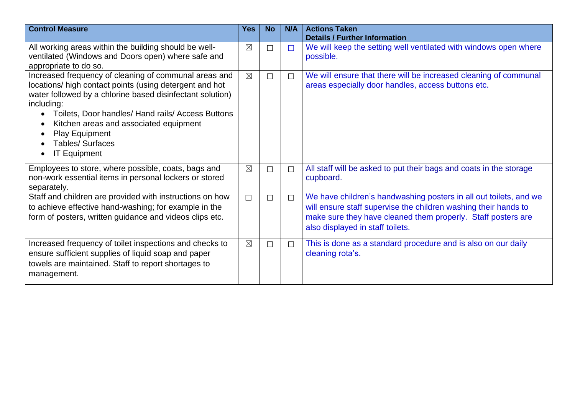| <b>Control Measure</b>                                                                                                                                                                                                                                                                                                                                                            | <b>Yes</b>  | <b>No</b> | N/A    | <b>Actions Taken</b><br><b>Details / Further Information</b>                                                                                                                                                                             |
|-----------------------------------------------------------------------------------------------------------------------------------------------------------------------------------------------------------------------------------------------------------------------------------------------------------------------------------------------------------------------------------|-------------|-----------|--------|------------------------------------------------------------------------------------------------------------------------------------------------------------------------------------------------------------------------------------------|
| All working areas within the building should be well-<br>ventilated (Windows and Doors open) where safe and<br>appropriate to do so.                                                                                                                                                                                                                                              | $\boxtimes$ | $\Box$    | $\Box$ | We will keep the setting well ventilated with windows open where<br>possible.                                                                                                                                                            |
| Increased frequency of cleaning of communal areas and<br>locations/ high contact points (using detergent and hot<br>water followed by a chlorine based disinfectant solution)<br>including:<br>Toilets, Door handles/ Hand rails/ Access Buttons<br>Kitchen areas and associated equipment<br><b>Play Equipment</b><br><b>Tables/Surfaces</b><br><b>IT Equipment</b><br>$\bullet$ | $\boxtimes$ | $\Box$    | $\Box$ | We will ensure that there will be increased cleaning of communal<br>areas especially door handles, access buttons etc.                                                                                                                   |
| Employees to store, where possible, coats, bags and<br>non-work essential items in personal lockers or stored<br>separately.                                                                                                                                                                                                                                                      | $\boxtimes$ | $\Box$    | $\Box$ | All staff will be asked to put their bags and coats in the storage<br>cupboard.                                                                                                                                                          |
| Staff and children are provided with instructions on how<br>to achieve effective hand-washing; for example in the<br>form of posters, written guidance and videos clips etc.                                                                                                                                                                                                      | $\Box$      | $\Box$    | $\Box$ | We have children's handwashing posters in all out toilets, and we<br>will ensure staff supervise the children washing their hands to<br>make sure they have cleaned them properly. Staff posters are<br>also displayed in staff toilets. |
| Increased frequency of toilet inspections and checks to<br>ensure sufficient supplies of liquid soap and paper<br>towels are maintained. Staff to report shortages to<br>management.                                                                                                                                                                                              | $\boxtimes$ | $\Box$    | $\Box$ | This is done as a standard procedure and is also on our daily<br>cleaning rota's.                                                                                                                                                        |